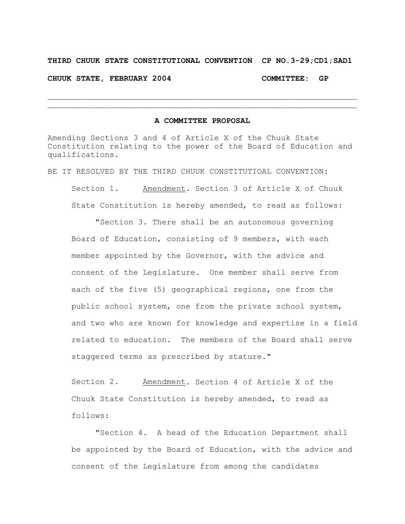## **THIRD CHUUK STATE CONSTITUTIONAL CONVENTION CP NO.3-29;CD1;SAD1**

**CHUUK STATE, FEBRUARY 2004 COMMITTEE: GP**

## **A COMMITTEE PROPOSAL**

 $\mathcal{L}_\text{max} = \mathcal{L}_\text{max} = \mathcal{L}_\text{max} = \mathcal{L}_\text{max} = \mathcal{L}_\text{max} = \mathcal{L}_\text{max} = \mathcal{L}_\text{max} = \mathcal{L}_\text{max} = \mathcal{L}_\text{max} = \mathcal{L}_\text{max} = \mathcal{L}_\text{max} = \mathcal{L}_\text{max} = \mathcal{L}_\text{max} = \mathcal{L}_\text{max} = \mathcal{L}_\text{max} = \mathcal{L}_\text{max} = \mathcal{L}_\text{max} = \mathcal{L}_\text{max} = \mathcal{$  $\mathcal{L}_\text{max} = \mathcal{L}_\text{max} = \mathcal{L}_\text{max} = \mathcal{L}_\text{max} = \mathcal{L}_\text{max} = \mathcal{L}_\text{max} = \mathcal{L}_\text{max} = \mathcal{L}_\text{max} = \mathcal{L}_\text{max} = \mathcal{L}_\text{max} = \mathcal{L}_\text{max} = \mathcal{L}_\text{max} = \mathcal{L}_\text{max} = \mathcal{L}_\text{max} = \mathcal{L}_\text{max} = \mathcal{L}_\text{max} = \mathcal{L}_\text{max} = \mathcal{L}_\text{max} = \mathcal{$ 

Amending Sections 3 and 4 of Article X of the Chuuk State Constitution relating to the power of the Board of Education and qualifications.

BE IT RESOLVED BY THE THIRD CHUUK CONSTITUTIOAL CONVENTION: Section 1. Amendment. Section 3 of Article X of Chuuk State Constitution is hereby amended, to read as follows:

"Section 3. There shall be an autonomous governing Board of Education, consisting of 9 members, with each member appointed by the Governor, with the advice and consent of the Legislature. One member shall serve from each of the five (5) geographical regions, one from the public school system, one from the private school system, and two who are known for knowledge and expertise in a field related to education. The members of the Board shall serve staggered terms as prescribed by stature."

Section 2. Amendment. Section 4 of Article X of the Chuuk State Constitution is hereby amended, to read as follows:

"Section 4. A head of the Education Department shall be appointed by the Board of Education, with the advice and consent of the Legislature from among the candidates